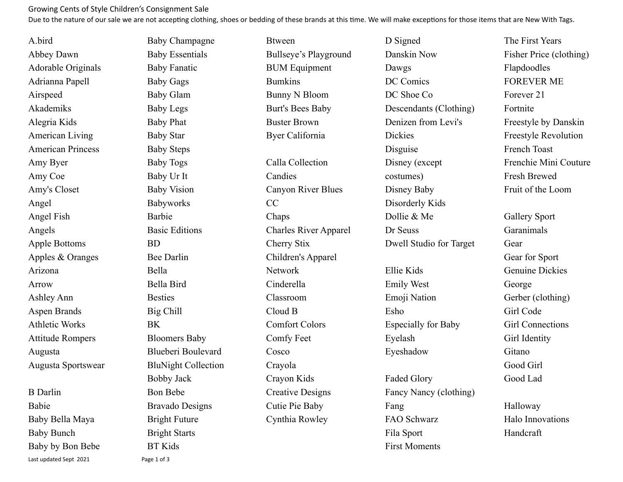## Growing Cents of Style Children's Consignment Sale

Due to the nature of our sale we are not accepting clothing, shoes or bedding of these brands at this time. We will make exceptions for those items that are New With Tags.

A.bird Abbey Dawn Adorable Originals Adrianna Papell Airspeed Akademiks Alegria Kids American Living American Princess Amy Byer Amy Coe Amy's Closet Angel Angel Fish Angels Apple Bottoms Apples & Oranges Arizona Arrow Ashley Ann Aspen Brands Athletic Works Attitude Rompers Augusta Augusta Sportswear B Darlin Babie Baby Bella Maya Baby Bunch

Baby by Bon Bebe

Last updated Sept 2021 Page 1 of 3

Baby Champagne Baby Essentials Baby Fanatic Baby Gags Baby Glam Baby Legs Baby Phat Baby Star Baby Steps Baby Togs Baby Ur It Baby Vision Babyworks Barbie Basic Editions BD Bee Darlin Bella Bella Bird Besties Big Chill BK Bloomers Baby Blueberi Boulevard BluNight Collection Bobby Jack Bon Bebe Bravado Designs Bright Future Bright Starts BT Kids

Btween Bullseye's Playground BUM Equipment Bumkins Bunny N Bloom Burt's Bees Baby Buster Brown Byer California Calla Collection **Candies** Canyon River Blues CC Chaps Charles River Apparel Cherry Stix Children's Apparel Network Cinderella Classroom Cloud B Comfort Colors Comfy Feet Cosco Crayola Crayon Kids Creative Designs Cutie Pie Baby Cynthia Rowley

Danskin Now Dawgs DC Comics DC Shoe Co Descendants (Clothing) Denizen from Levi's **Dickies** Disguise Disney (except costumes) Disney Baby Disorderly Kids Dollie & Me Dr Seuss Dwell Studio for Target

D Signed

Ellie Kids Emily West Emoji Nation Esho Especially for Baby Eyelash Eyeshadow

Faded Glory Fancy Nancy (clothing) Fang FAO Schwarz Fila Sport First Moments

The First Years Fisher Price (clothing) Flapdoodles FOREVER ME Forever 21 Fortnite Freestyle by Danskin Freestyle Revolution French Toast Frenchie Mini Couture Fresh Brewed Fruit of the Loom

Gallery Sport Garanimals Gear Gear for Sport Genuine Dickies George Gerber (clothing) Girl Code Girl Connections Girl Identity Gitano Good Girl Good Lad

Halloway Halo Innovations Handcraft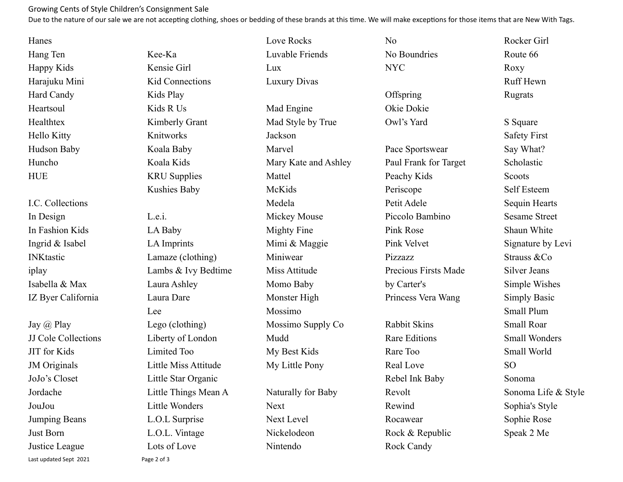## Growing Cents of Style Children's Consignment Sale

Due to the nature of our sale we are not accepting clothing, shoes or bedding of these brands at this time. We will make exceptions for those items that are New With Tags.

Love Rocks

| Hanes              |
|--------------------|
| Hang Ten           |
| <b>Happy Kids</b>  |
| Harajuku Mini      |
| <b>Hard Candy</b>  |
| Heartsoul          |
| Healthtex          |
| <b>Hello Kitty</b> |
| Hudson Baby        |
| Huncho             |
| <b>HUE</b>         |
|                    |

I.C. Collections In Design In Fashion Kids Ingrid & Isabel INKtastic iplay Isabella & Max IZ Byer California

Jay @ Play JJ Cole Collections JIT for Kids JM Originals JoJo's Closet Jordache JouJou Jumping Beans Just Born Justice League Last updated Sept 2021 Page 2 of 3

Kee-Ka Kensie Girl Kid Connections Kids Play Kids R Us Kimberly Grant Knitworks Koala Baby Koala Kids KRU Supplies Kushies Baby  $L$ e i LA Baby LA Imprints Lamaze (clothing) Lambs & Ivy Bedtime Laura Ashley Laura Dare Lee Lego (clothing) Liberty of London Limited Too Little Miss Attitude Little Star Organic Little Things Mean A Little Wonders L.O.L Surprise L.O.L. Vintage Lots of Love

Luvable Friends Lux Luxury Divas Mad Engine Mad Style by True Jackson Marvel Mary Kate and Ashley Mattel McKids Medela Mickey Mouse Mighty Fine Mimi & Maggie Miniwear Miss Attitude Momo Baby Monster High Mossimo Mossimo Supply Co Mudd My Best Kids My Little Pony Naturally for Baby Next Next Level Nickelodeon

Nintendo

NYC **Offspring** Okie Dokie Owl's Yard Pace Sportswear Paul Frank for Target Peachy Kids Periscope Petit Adele Piccolo Bambino Pink Rose Pink Velvet Pizzazz Precious Firsts Made by Carter's Princess Vera Wang Rabbit Skins Rare Editions Rare Too Real Love Rebel Ink Baby Revolt Rewind Rocawear Rock & Republic

Rock Candy

No

No Boundries

Rocker Girl Route 66 Roxy Ruff Hewn Rugrats S Square Safety First Say What? Scholastic **Scoots** Self Esteem Sequin Hearts Sesame Street Shaun White Signature by Levi Strauss &Co Silver Jeans Simple Wishes Simply Basic Small Plum Small Roar Small Wonders Small World SO Sonoma Sonoma Life & Style Sophia's Style Sophie Rose Speak 2 Me